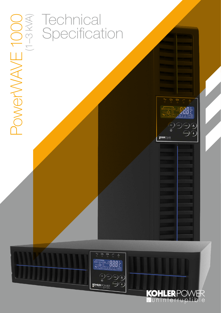

# **Technical** Specification



 $\begin{array}{ccccccccc}\n\sim & \mathbb{O}_1 & \mathbb{O}_2 & \curvearrowright & \mathbb{A}\n\end{array}$ 

**DOOX** 

 $\left(\begin{array}{c}\n\circ \\
\circ \\
\circ\n\end{array}\right)\n\left(\begin{array}{c}\n\circ \\
\circ\n\end{array}\right)\n\left(\begin{array}{c}\n\circ \\
\circ\n\end{array}\right)\n\left(\begin{array}{c}\n\bullet \\
\bullet\n\end{array}\right)\n\left(\begin{array}{c}\n\bullet \\
\bullet\n\end{array}\right)\n\left(\begin{array}{c}\n\bullet \\
\bullet\n\end{array}\right)\n\left(\begin{array}{c}\n\bullet \\
\bullet\n\end{array}\right)\n\left(\begin{array}{c}\n\bullet \\
\bullet\n\end{array}\right)\n\left(\begin{array}{c}\n\bullet \\
\bullet\n\end{array}\right)\n\$ 

**KOHLERPOWER**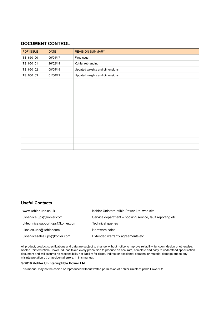# **DOCUMENT CONTROL**

| PDF ISSUE | <b>DATE</b> | <b>REVISION SUMMARY</b>        |
|-----------|-------------|--------------------------------|
| TS_650_00 | 06/04/17    | First Issue                    |
| TS_650_01 | 26/02/19    | Kohler rebranding              |
| TS_650_02 | 08/05/19    | Updated weights and dimensions |
| TS_650_03 | 01/06/22    | Updated weights and dimensions |
|           |             |                                |
|           |             |                                |
|           |             |                                |
|           |             |                                |
|           |             |                                |
|           |             |                                |
|           |             |                                |
|           |             |                                |
|           |             |                                |
|           |             |                                |
|           |             |                                |
|           |             |                                |

# **Useful Contacts**

| www.kohler-ups.co.uk              | Kohler Uninterruptible Power Ltd. web site                 |
|-----------------------------------|------------------------------------------------------------|
| ukservice.ups@kohler.com          | Service department – booking service, fault reporting etc. |
| uktechnicalsupport.ups@kohler.com | Technical queries                                          |
| uksales.ups@kohler.com            | Hardware sales                                             |
| ukservicesales.ups@kohler.com     | Extended warranty agreements etc                           |

All product, product specifications and data are subject to change without notice to improve reliability, function, design or otherwise. Kohler Uninterruptible Power Ltd. has taken every precaution to produce an accurate, complete and easy to understand specification document and will assume no responsibility nor liability for direct, indirect or accidental personal or material damage due to any misinterpretation of, or accidental errors, in this manual.

#### **© 2019 Kohler Uninterruptible Power Ltd.**

This manual may not be copied or reproduced without written permission of Kohler Uninterruptible Power Ltd.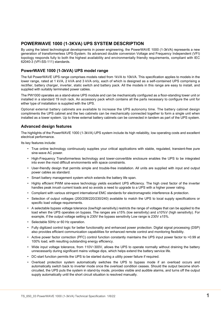# **POWERWAVE 1000 (1-3KVA) UPS SYSTEM DESCRIPTION**

By using the latest technological developments in power engineering, the PowerWAVE 1000 (1-3kVA) represents a new generation of transformerless UPS-System. Its advanced double conversion Voltage and Frequency Independent (VFI) topology responds fully to both the highest availability and environmentally friendly requirements, compliant with IEC 62040-3 (VFI-SS-111) standards.

# **PowerWAVE 1000 (1-3kVA) UPS model range**

The full PowerWAVE UPS range comprises models rated from 1kVA to 10kVA. This specification applies to models in the lower range, rated at 1 kVA, 2 kVA and 3 kVA only, each of which is designed as a self-contained UPS comprising a rectifier, battery charger, inverter, static switch and battery pack. All the models in this range are easy to install, and supplied with suitably terminated power cables.

The PW1000 operates as a stand-alone UPS module and can be mechanically configured as a floor-standing tower unit or installed in a standard 19 inch rack. An accessory pack which contains all the parts necessary to configure the unit for either type of installation is supplied with the UPS.

Optional external battery cabinets are available to increase the UPS autonomy time. The battery cabinet design compliments the UPS cabinet and the two cabinets can be mechanically connected together to form a single unit when installed as a tower system. Up to three external battery cabinets can be connected in tandem as part of the UPS system.

# **Advanced design features**

The highlights of the PowerWAVE 1000 (1-3kVA) UPS system include its high reliability, low operating costs and excellent electrical performance.

Its key features include:

- True online technology continuously supplies your critical applications with stable, regulated, transient-free pure sine-wave AC power.
- High-Frequency Transformerless technology and tower-convertible enclosure enables the UPS to be integrated into even the most difficult environments with space constraints.
- User-friendly design that permits simple and trouble-free installation. All units are supplied with input and output power cables as standard.
- Smart battery management system which extends the battery life span.
- Highly efficient PWM sine-wave technology yields excellent UPS efficiency. The high crest factor of the inverter handles peak inrush current loads and so avoids a need to upgrade to a UPS with a higher power rating.
- Compliant with various stringent international EMC standards for electromagnetic interference & protection.
- Selection of output voltages (200/208/220/230/240) available to match the UPS to local supply specifications or specific load voltage requirements.
- A selectable bypass voltage tolerance (low/high sensitivity) restricts the range of voltages that can be applied to the load when the UPS operates on bypass. The ranges are ±15% (low sensitivity) and ±10%V (high sensitivity). For example, if the output voltage setting is 230V the bypass sensitivity Low range is 230V ±15%.
- Selectable 50Hz or 60 Hz operation.
- Fully digitized control logic for better functionality and enhanced power protection. Digital signal processing (DSP) also provides efficient communication capabilities for enhanced remote control and monitoring flexibility.
- Active power factor correction (PFC) control function constantly maintains the UPS input power factor to >0.99 at 100% load, with resulting outstanding energy efficiency.
- Wide input voltage tolerance, from 110V~300V, allows the UPS to operate normally without draining the battery unnecessarily during significant mains voltage dips, which helps extend the battery service life.
- DC-start function permits the UPS to be started during a utility power failure if required.
- Overload protection system automatically switches the UPS to bypass mode if an overload occurs and automatically switch back to inverter mode once the overload condition ceases. Should the output become shortcircuited, the UPS puts the system in stand-by mode, provides visible and audible alarms, and turns off the output supply automatically until the short circuit situation is resolved manually.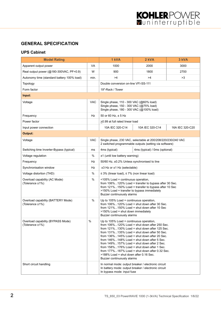# **GENERAL SPECIFICATION**

# **UPS Cabinet**

| <b>Model Rating</b>                                   | 1 kVA      | 2 kVA                                                                                                                                                                                                                                                                                                                                                                                                                                                                                                                                                                                                   | 3 kVA                                                |                 |
|-------------------------------------------------------|------------|---------------------------------------------------------------------------------------------------------------------------------------------------------------------------------------------------------------------------------------------------------------------------------------------------------------------------------------------------------------------------------------------------------------------------------------------------------------------------------------------------------------------------------------------------------------------------------------------------------|------------------------------------------------------|-----------------|
| Apparent output power                                 | VA         | 1000                                                                                                                                                                                                                                                                                                                                                                                                                                                                                                                                                                                                    | 2000                                                 | 3000            |
| Real output power (@180-300VAC, PF=0.9)               | W          | 900                                                                                                                                                                                                                                                                                                                                                                                                                                                                                                                                                                                                     | 1800                                                 | 2700            |
| Autonomy time (standard battery 100% load)            | min.       | >4                                                                                                                                                                                                                                                                                                                                                                                                                                                                                                                                                                                                      | >4                                                   |                 |
| Topology                                              |            | Double conversion on-line VFI-SS-111                                                                                                                                                                                                                                                                                                                                                                                                                                                                                                                                                                    |                                                      |                 |
| Form factor                                           |            | 19"-Rack / Tower                                                                                                                                                                                                                                                                                                                                                                                                                                                                                                                                                                                        |                                                      |                 |
| Input:                                                |            |                                                                                                                                                                                                                                                                                                                                                                                                                                                                                                                                                                                                         |                                                      |                 |
| Voltage                                               | <b>VAC</b> | Single phase, 110 - 300 VAC (@60% load)<br>Single phase, 150 - 300 VAC (@75% load)<br>Single phase, 180 - 300 VAC (@100% load)                                                                                                                                                                                                                                                                                                                                                                                                                                                                          |                                                      |                 |
| Frequency                                             | Hz         | 50 or 60 Hz, ± 5 Hz                                                                                                                                                                                                                                                                                                                                                                                                                                                                                                                                                                                     |                                                      |                 |
| Power factor                                          |            | >0.99 at full rated linear load                                                                                                                                                                                                                                                                                                                                                                                                                                                                                                                                                                         |                                                      |                 |
| Input power connection                                |            | 10A IEC 320-C14                                                                                                                                                                                                                                                                                                                                                                                                                                                                                                                                                                                         | 10A IEC 320-C14                                      | 16A IEC 320-C20 |
| Output:                                               |            |                                                                                                                                                                                                                                                                                                                                                                                                                                                                                                                                                                                                         |                                                      |                 |
| Voltage                                               | <b>VAC</b> | Single phase, 230 VAC, selectable at 200/208/220/230/240 VAC<br>2 switched programmable outputs (setting via software)                                                                                                                                                                                                                                                                                                                                                                                                                                                                                  |                                                      |                 |
| Switching time Inverter-Bypass (typical)              | ms         | 4ms (typical) / 0ms (optional)<br>4ms (typical)                                                                                                                                                                                                                                                                                                                                                                                                                                                                                                                                                         |                                                      |                 |
| Voltage regulation                                    | %          | $±1$ (until low battery warning)                                                                                                                                                                                                                                                                                                                                                                                                                                                                                                                                                                        |                                                      |                 |
| Frequency                                             | Hz         | 50/60 Hz, ±0.2% Unless synchronised to line                                                                                                                                                                                                                                                                                                                                                                                                                                                                                                                                                             |                                                      |                 |
| Synchronisation window                                | Hz         | ±3 Hz or ±1 Hz (selectable)                                                                                                                                                                                                                                                                                                                                                                                                                                                                                                                                                                             |                                                      |                 |
| Voltage distortion (THD)                              | $\%$       | $\leq$ 3% (linear load), $\leq$ 7% (non linear load)                                                                                                                                                                                                                                                                                                                                                                                                                                                                                                                                                    |                                                      |                 |
| Overload capability (AC Mode)<br>(Tolerance ±1%)      | %          | <105% Load = continuous operation,<br>from 106%120% Load = transfer to bypass after 30 Sec.<br>from 121%150% Load = transfer to bypass after 10 Sec<br>>150% Load = transfer to bypass immediately<br>Buzzer continuously alarms                                                                                                                                                                                                                                                                                                                                                                        |                                                      |                 |
| Overload capability (BATTERY Mode)<br>(Tolerance ±1%) | %          | Up to 105% Load = continuous operation,<br>from $106\%120\%$ Load = shut down after 30 Sec.<br>from $121\%150\%$ Load = shut down after 10 Sec<br>>150% Load = shut down immediately<br>Buzzer continuously alarms                                                                                                                                                                                                                                                                                                                                                                                      |                                                      |                 |
| Overload capability (BYPASS Mode)<br>(Tolerance ±1%)  | $\%$       | Up to 105% Load = continuous operation,<br>from $106\%120\%$ Load = shut down after 250 Sec.<br>from $121\%130\%$ Load = shut down after 125 Sec.<br>from $131\%135\%$ Load = shut down after 50 Sec.<br>from $136\%145\%$ Load = shut down after 20 Sec.<br>from $146\%148\%$ Load = shut down after 5 Sec.<br>from $149\%157\%$ Load = shut down after 2 Sec.<br>from $158\%176\%$ Load = shut down after 1 Sec.<br>from $177\%187\%$ Load = shut down after 0.32 Sec.<br>>188% Load = shut down after 0.16 Sec.<br>Buzzer continuously alarms<br>In normal mode: output breaker / electronic circuit |                                                      |                 |
| Short circuit handling                                |            | In bypass mode: input fuse                                                                                                                                                                                                                                                                                                                                                                                                                                                                                                                                                                              | In battery mode: output breaker / electronic circuit |                 |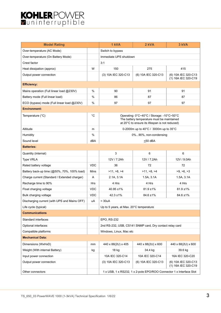# KOHLERPOWER

| <b>Model Rating</b>                          |              | 1 kVA                                                                                                                                     | 2 kVA               | 3 kVA                                      |
|----------------------------------------------|--------------|-------------------------------------------------------------------------------------------------------------------------------------------|---------------------|--------------------------------------------|
| Over-temperature (AC Mode)                   |              | Switch to bypass                                                                                                                          |                     |                                            |
| Over-temperature (On Battery Mode)           |              | Immediate UPS shutdown                                                                                                                    |                     |                                            |
| Crest factor                                 |              | 3:1                                                                                                                                       |                     |                                            |
| Heat dissipation (approx)                    | W            | 150                                                                                                                                       | 275                 | 415                                        |
| Output power connection                      |              | (3) 10A IEC 320-C13                                                                                                                       | (6) 10A IEC 320-C13 | (6) 10A IEC 320-C13<br>(1) 16A IEC 320-C19 |
| <b>Efficiency:</b>                           |              |                                                                                                                                           |                     |                                            |
| Mains operation (Full linear load @230V)     | %            | 90                                                                                                                                        | 91                  | 91                                         |
| Battery mode (Full linear load)              | %            | 86                                                                                                                                        | 87                  | 87                                         |
| ECO (bypass) mode (Full linear load @230V)   | %            | 97                                                                                                                                        | 97                  | 97                                         |
| <b>Environment:</b>                          |              |                                                                                                                                           |                     |                                            |
| Temperature (°C)                             | $^{\circ}$ C | Operating: 0°C~40°C / Storage: -10°C~50°C<br>The battery temperature must be maintained<br>at 20°C to ensure its lifespan is not reduced) |                     |                                            |
| Altitude                                     | m            | 0-2000m up to 40°C / 3000m up to 35°C                                                                                                     |                     |                                            |
| Humidity                                     | %            | 0%90%, non-condensing                                                                                                                     |                     |                                            |
| Sound level                                  | dBA          | $<$ 50 dBA                                                                                                                                |                     |                                            |
| <b>Batteries:</b>                            |              |                                                                                                                                           |                     |                                            |
| Quantity (internal)                          |              | 3                                                                                                                                         | 6                   | 6                                          |
| <b>Type VRLA</b>                             |              | 12V / 7.2Ah                                                                                                                               | 12V / 7.2Ah         | 12V / 9.0Ah                                |
| Rated battery voltage                        | <b>VDC</b>   | 36                                                                                                                                        | 72                  | 72                                         |
| Battery back-up time (@50%, 70%, 100% load)  | Mins         | >11, >8, >4                                                                                                                               | >11, >8, >4         | >9, >6, >3                                 |
| Charge current (Standard / Extended charger) | A            | 2.1A, 3.1A                                                                                                                                | 1.5A, 3.1A          | 1.5A, 3.1A                                 |
| Recharge time to 90%                         | Hrs          | 4 Hrs                                                                                                                                     | 4 Hrs               | 4 Hrs                                      |
| Float charging voltage                       | <b>VDC</b>   | 40.95 ±1%                                                                                                                                 | $81.9 \pm 1\%$      | $81.9 \pm 1\%$                             |
| Bulk charging voltage                        | <b>VDC</b>   | $42.3 \pm 1\%$                                                                                                                            | 84.6 ±1%            | 84.6 ±1%                                   |
| Discharging current (with UPS and Mains OFF) | uA           | $<$ 30uA                                                                                                                                  |                     |                                            |
| Life cycle (typical)                         |              | Up to 5 years, at Max. 20°C temperature                                                                                                   |                     |                                            |
| <b>Communications</b>                        |              |                                                                                                                                           |                     |                                            |
| Standard interfaces                          |              | EPO, RS-232                                                                                                                               |                     |                                            |
| Optional interfaces                          |              | 2nd RS-232, USB, CS141 SNMP card, Dry contact relay card                                                                                  |                     |                                            |
| Compatible platforms                         |              | Windows, Linux, Mac etc                                                                                                                   |                     |                                            |
| <b>Mechanical Data:</b>                      |              |                                                                                                                                           |                     |                                            |
| Dimensions (WxHxD)                           | mm           | 440 x 88(2U) x 405                                                                                                                        | 440 x 88(2U) x 600  | 440 x 88(2U) x 600                         |
| Weight (With internal Battery)               | kg           | 18 kg                                                                                                                                     | 34.4 kg             | 39.6 kg                                    |
| Input power connection                       |              | 10A IEC 320-C14                                                                                                                           | 10A IEC 320-C14     | 16A IEC 320-C20                            |
| Output power connection                      |              | (3) 10A IEC 320-C13                                                                                                                       | (6) 10A IEC 320-C13 | (6) 10A IEC 320-C13<br>(1) 16A IEC 320-C19 |
| Other connectors                             |              | 1 x USB, 1 x RS232, 1 x 2-pole EPO/ROO Connector 1 x Interface Slot                                                                       |                     |                                            |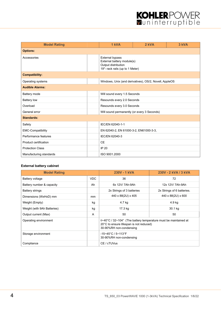# KOHLERPOWER

| <b>Model Rating</b>      |  | 1 kVA                                                                                                          | 2 kVA | 3 kVA |  |
|--------------------------|--|----------------------------------------------------------------------------------------------------------------|-------|-------|--|
| <b>Options:</b>          |  |                                                                                                                |       |       |  |
| Accessories              |  | <b>External bypass</b><br>External battery module(s)<br>Output distribution<br>19"- rack rails (up to 1 Meter) |       |       |  |
| <b>Compatibility:</b>    |  |                                                                                                                |       |       |  |
| Operating systems        |  | Windows, Unix (and derivatives), OS/2, Novell, AppleOS                                                         |       |       |  |
| <b>Audible Alarms:</b>   |  |                                                                                                                |       |       |  |
| Battery mode             |  | Will sound every 1.5 Seconds                                                                                   |       |       |  |
| <b>Battery low</b>       |  | Resounds every 2.0 Seconds                                                                                     |       |       |  |
| Overload                 |  | Resounds every 3.0 Seconds                                                                                     |       |       |  |
| General error            |  | Will sound permanently (or every 3 Seconds)                                                                    |       |       |  |
| <b>Standards:</b>        |  |                                                                                                                |       |       |  |
| Safety                   |  | IEC/EN 62040-1-1                                                                                               |       |       |  |
| <b>EMC-Compatibility</b> |  | EN 62040-2, EN 61000-3-2, EN61000-3-3,                                                                         |       |       |  |
| Performance features     |  | IEC/EN 62040-3                                                                                                 |       |       |  |
| Product certification    |  | <b>CE</b>                                                                                                      |       |       |  |
| <b>Protection Class</b>  |  | IP 20                                                                                                          |       |       |  |
| Manufacturing standards  |  | ISO 9001.2000                                                                                                  |       |       |  |

# **External battery cabinet**

| <b>Model Rating</b>         |            | 230V - 1 kVA                                                                                                                                                | 230V - 2 kVA / 3 kVA       |
|-----------------------------|------------|-------------------------------------------------------------------------------------------------------------------------------------------------------------|----------------------------|
| Battery voltage             | <b>VDC</b> | 36                                                                                                                                                          | 72                         |
| Battery number & capacity   | Ah         | 6x 12V/7Ah-9Ah                                                                                                                                              | 12x 12V/7Ah-9Ah            |
| <b>Battery strings</b>      |            | 2x Strings of 3 batteries                                                                                                                                   | 2x Strings of 6 batteries. |
| Dimensions (WxHxD) mm       | mm         | 440 x 88(2U) x 405                                                                                                                                          | 440 x 88(2U) x 600         |
| Weight (Empty)              | kg         | 4.7 kg                                                                                                                                                      | 4.9 kg                     |
| Weight (with 9Ah Batteries) | kg         | 17.3 kg                                                                                                                                                     | 30.1 kg                    |
| Output current (Max)        | A          | 50                                                                                                                                                          | 50                         |
| Operating environment       |            | $0 \sim 40^{\circ}$ C / 32 $\sim$ 104° (The battery temperature must be maintained at<br>20°C to ensure lifespan is not reduced)<br>30-90%RH non-condensing |                            |
| Storage environment         |            | $-15 - 45^{\circ}$ C / $5 - 113^{\circ}$ F<br>30-90%RH non-condensing                                                                                       |                            |
| Compliance                  |            | CE / cTUVus                                                                                                                                                 |                            |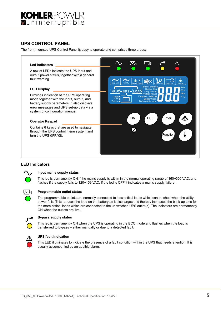

# **UPS CONTROL PANEL**

The front-mounted UPS Control Panel is easy to operate and comprises three areas:



#### **LED Indicators**



#### **Input mains supply status**

This led is permanently ON if the mains supply is within in the normal operating range of 160~300 VAC, and flashes if the supply falls to 120~159 VAC. If the led is OFF it indicates a mains supply failure.



#### **Programmable outlet status**

The programmable outlets are normally connected to less critical loads which can be shed when the utility power fails. This reduces the load on the battery as it discharges and thereby increases the back-up time for the more critical loads which are connected to the unswitched UPS outlet(s). The indicators are permanently ON when the outlets are live.



#### **Bypass supply status**

This led is permanently ON when the UPS is operating in the ECO mode and flashes when the load is transferred to bypass – either manually or due to a detected fault.



#### **UPS fault indication**

This LED illuminates to indicate the presence of a fault condition within the UPS that needs attention. It is usually accompanied by an audible alarm.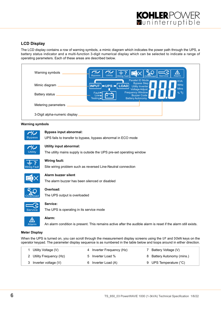

# **LCD Display**

The LCD display contains a row of warning symbols, a mimic diagram which indicates the power path through the UPS, a battery status indicator and a multi-function 3-digit numerical display which can be selected to indicate a range of operating parameters. Each of these areas are described below.



#### **Warning symbols**



#### **Bypass input abnormal:**

UPS fails to transfer to bypass, bypass abnormal in ECO mode



#### **Utility input abnormal:**

The utility mains supply is outside the UPS pre-set operating window



#### **Wiring fault:**

Site wiring problem such as reversed Line-Neutral connection



#### **Alarm buzzer silent**

The alarm buzzer has been silenced or disabled



# **Overload:**

The UPS output is overloaded



# **Service:**

The UPS is operating in its service mode

#### **Alarm:**

An alarm condition is present. This remains active after the audible alarm is reset if the alarm still exists.

#### **Meter Display**

Alarm

Æ

When the UPS is turned on, you can scroll through the measurement display screens using the UP and DOWN keys on the operator keypad. The parameter display sequence is as numbered in the table below and loops around in either direction.

| Utility Voltage (V)      | 4 Inverter Frequency (Hz) | Battery Voltage (V)        |
|--------------------------|---------------------------|----------------------------|
| 2 Utility Frequency (Hz) | 5 Inverter Load %         | 8 Battery Autonomy (mins.) |
| 3 Inverter voltage (V)   | 6 Inverter Load (A)       | 9 UPS Temperature (°C)     |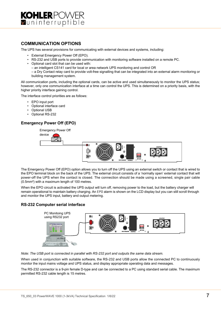

# **COMMUNICATION OPTIONS**

The UPS has several provisions for communicating with external devices and systems, including:

- External Emergency Power Off (EPO).
- RS-232 and USB ports to provide communication with monitoring software installed on a remote PC.
- Optional card slot that can be used with:

– an intelligent CS141 card for local or area network UPS monitoring and control OR

– a Dry Contact relay card to provide volt-free signalling that can be integrated into an external alarm monitoring or building management system.

All communication ports, including the optional cards, can be active and used simultaneously to monitor the UPS status; however, only one communication interface at a time can control the UPS. This is determined on a priority basis, with the higher priority interface gaining control.

The interface control priorities are as follows:

- EPO input port
- Optional interface card
- Optional USB
- Optional RS-232

### **Emergency Power Off (EPO)**



The Emergency Power Off (EPO) option allows you to turn off the UPS using an external switch or contact that is wired to the EPO terminal block on the back of the UPS. The external circuit consists of a 'normally open' external contact that will power-off the UPS when the contact is closed. The connection should be made using a screened, single pair cable (0.5mm²) with a maximum length of 100 metres.

When the EPO circuit is activated the UPS output will turn off, removing power to the load, but the battery charger will remain operational to maintain battery charging. An EPO alarm is shown on the LCD display but you can still scroll through and monitor the UPS input, battery and output metering.

#### **RS-232 Computer serial interface**



*Note: The USB port is connected in parallel with RS-232 port and outputs the same data stream.*

When used in conjunction with suitable software, the RS-232 and USB ports allow the connected PC to continuously monitor the input mains voltage and UPS status, and display appropriate operating data and messages.

The RS-232 connector is a 9-pin female D-type and can be connected to a PC using standard serial cable. The maximum permitted RS-232 cable length is 15 metres.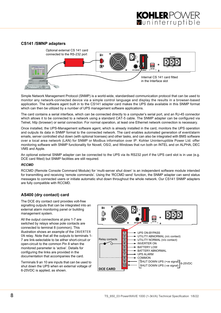# **CS141 /SMNP adapters**



Simple Network Management Protocol (SNMP) is a world-wide, standardised communication protocol that can be used to monitor any network-connected device via a simple control language and display the results in a browser-based application. The software agent built in to the CS141 adapter card makes the UPS data available in this SNMP format which can then be utilized by a number of UPS management software applications.

The card contains a serial interface, which can be connected directly to a computer's serial port, and an RJ-45 connector which allows it to be connected to a network using a standard CAT-5 cable. The SNMP adapter can be configured via Telnet, http (browser) or serial connection. For normal operation, at least one Ethernet network connection is necessary.

Once installed, the UPS-Management software agent, which is already installed in the card, monitors the UPS operation and outputs its data in SNMP format to the connected network. The card enables automated generation of event/alarm emails, server controlled shut down (with optional licenses) and other tasks, and can also be integrated with BMS software over a local area network (LAN) for SNMP or Modbus information over IP. Kohler Uninterruptible Power Ltd. offer monitoring software with SNMP functionality for Novell, OS/2, and Windows that run both on INTEL and on ALPHA, DEC VMS and Apple.

An optional external SNMP adapter can be connected to the UPS via its RS232 port if the UPS card slot is in use (e.g. DCE card fitted) but SNMP facilities are still required.

#### *RCCMD*

RCCMD (Remote Console Command Module) for 'multi-server shut down' is an independent software module intended for transmitting and receiving 'remote commands'. Using the 'RCCMD send' function, the SNMP adapter can send status messages to connected users or initiate automatic shut down throughout the whole network. Our CS141 SNMP adapters are fully compatible with RCCMD.

# **AS400 (dry contact) card**

The DCE dry contact card provides volt-free signalling outputs that can be integrated into an external alarm monitoring panel or building management system.

All the output connections at pins 1-7 are switched by relays whose pole contacts are connected to terminal 8 (common). This illustration shows an example of the INVERTER ON relay. Note that all the outputs to terminals 1- 7 are link-selectable to be either short-circuit or open-circuit to the common Pin 8 when the monitored parameter is 'active'. Details for configuring the links are provided in the documentation that accompanies the card.

Terminals 9 an 10 are inputs that can be used to shut down the UPS when en external voltage of 6-25VDC is applied, as shown.

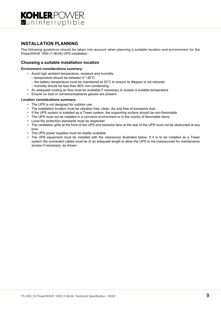

# **INSTALLATION PLANNING**

The following *guidelines* should be taken into account when planning a suitable location and environment for the PowerWAVE 1000 (1-3kVA) UPS installation.

### **Choosing a suitable installation location**

#### **Environment considerations summary:**

- Avoid high ambient temperature, moisture and humidity:
	- temperature should be between 0°~40°C.
	- the battery temperature must be maintained at 20°C to ensure its lifespan is not reduced
	- humidity should be less than 90% non-condensing
- An adequate cooling air flow must be available if necessary to sustain a suitable temperature
- Ensure no dust or corrosive/explosive gasses are present.

#### **Location considerations summary:**

- The UPS is not designed for outdoor use<br>• The installation location must be vibration
- The installation location must be vibration free, clean, dry and free of excessive dust
- If the UPS system is installed as a Tower system, the supporting surface should be non-flammable
- The UPS must not be installed in a corrosive environment or in the vicinity of flammable items
- Local fire protection standards must be respected
- The ventilation grills at the front of the UPS and extractor fans at the rear of the UPS must not be obstructed at any time
- The UPS power supplies must be readily available
- The UPS equipment must be installed with the clearances illustrated below. If it is to be installed as a Tower system the connected cables must be of an adequate length to allow the UPS to me manoeuvred for maintenance access if necessary, as shown.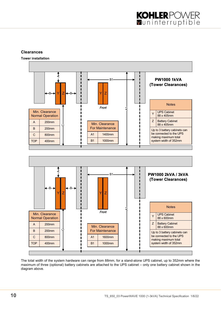# **Clearances**

**Tower installation**



The total width of the system hardware can range from 88mm, for a stand-alone UPS cabinet, up to 352mm where the maximum of three (optional) battery cabinets are attached to the UPS cabinet – only one battery cabinet shown in the diagram above.